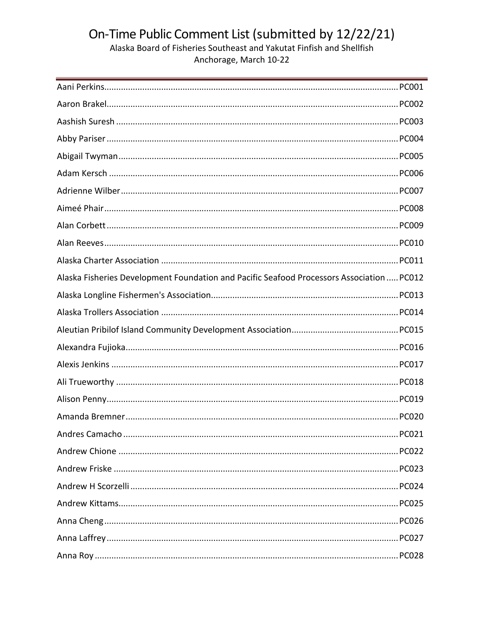| Alaska Fisheries Development Foundation and Pacific Seafood Processors Association  PC012 |
|-------------------------------------------------------------------------------------------|
|                                                                                           |
|                                                                                           |
|                                                                                           |
|                                                                                           |
|                                                                                           |
|                                                                                           |
|                                                                                           |
|                                                                                           |
|                                                                                           |
|                                                                                           |
|                                                                                           |
|                                                                                           |
|                                                                                           |
|                                                                                           |
|                                                                                           |
|                                                                                           |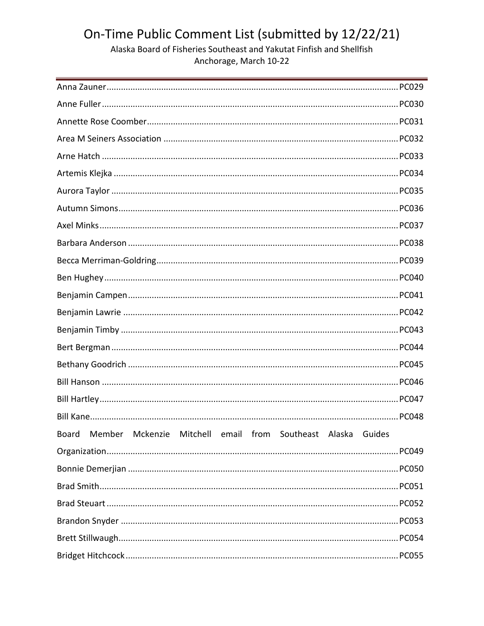| Board Member Mckenzie Mitchell email from Southeast Alaska Guides |
|-------------------------------------------------------------------|
|                                                                   |
|                                                                   |
|                                                                   |
|                                                                   |
|                                                                   |
|                                                                   |
|                                                                   |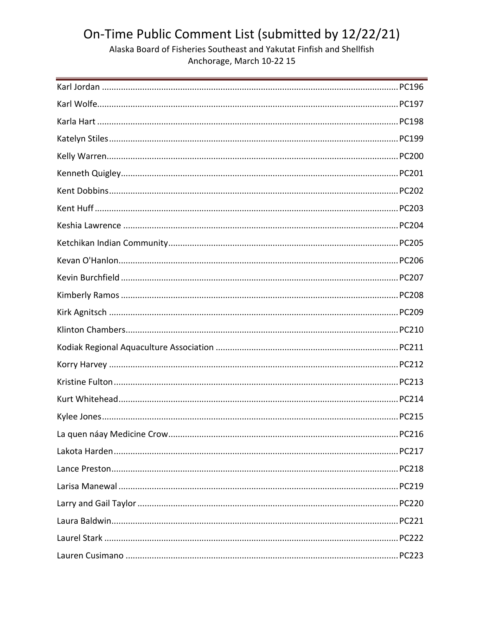Alaska Board of Fisheries Southeast and Yakutat Finfish and Shellfish Anchorage, March 10-22 15